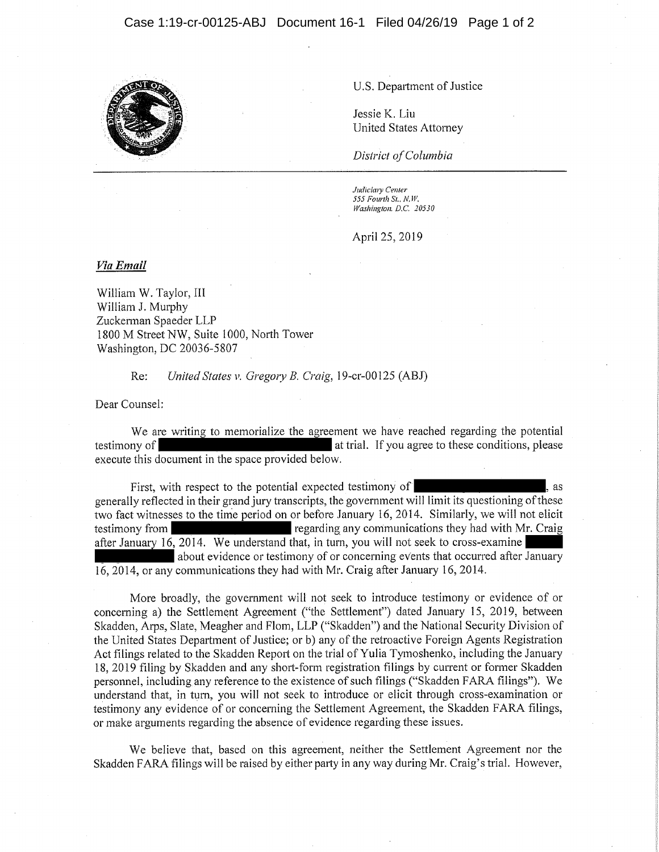

U.S. Department of Justice

Jessie K. Liu United States Attorney

*District of Columbia* 

*ludicituy Center S55 Fourth Si.. N.* W. *Washington. D.C. 20530* 

April 25, 2019

*Via Email* 

William W. Taylor, III William J. Murphy Zuckerman Spaeder LLP 1800 M Street NW, Suite 1000, North Tower Washington, DC 20036-5807

Re: *United States v. Gregory B. Craig,* 19-cr-00125 (ABJ)

Dear Counsel:

We are writing to memorialize the agreement we have reached regarding the potential testimony of **at trial.** If you agree to these conditions, please execute this document in the space provided below.

First, with respect to the potential expected testimony of  $\,$ , as generally reflected in their grand jury transcripts, the government will limit its questioning of these two fact witnesses to the time period on or before January 16, 2014. Similarly, we will not elicit testimony from regarding any communications they had with Mr. Craig after January 16, 2014. We understand that, in turn, you will not seek to cross-examine about evidence or testimony of or concerning events that occurred after January 16, 2014, or any communications they had with Mr. Craig after January 16, 2014.

More broadly, the government will not seek to introduce testimony or evidence of or concerning a) the Settlement Agreement ("the Settlement") dated January 15, 2019, between Skadden, Arps, Slate, Meagher and Flom, LLP ("Skadden") and the National Security Division of the United States Department of Justice; or b) any of the retroactive Foreign Agents Registration Act filings related to the Skadden Report on the trial of Yulia Tymoshenko, including the January 18, 2019 filing by Skadden and any short-form registration filings by current or former Skadden personnel, including any reference to the existence of such filings ("Skadden FARA filings"). We understand that, in turn, you will not seek to introduce or elicit through cross-examination or testimony any evidence of or concerning the Settlement Agreement, the Skadden FARA filings, or make arguments regarding the absence of evidence regarding these issues.

We believe that, based on this agreement, neither the Settlement Agreement nor the Skadden FARA filings will be raised by either party in any way during Mr. Craig's trial. However,